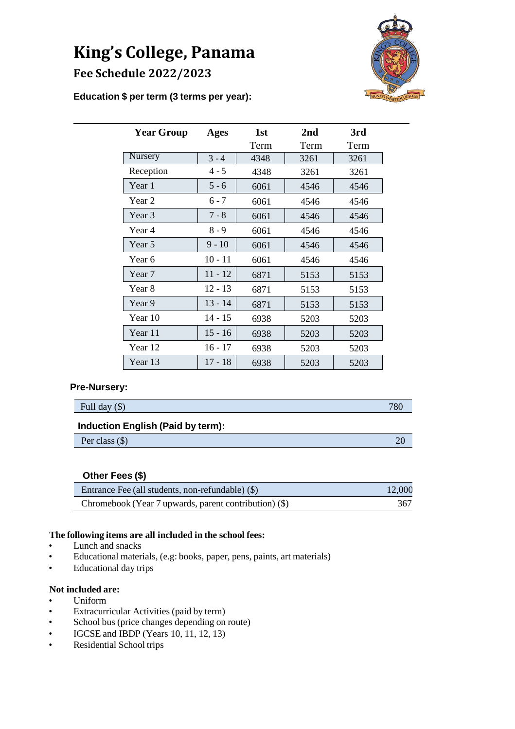# **King's College, Panama Fee Schedule 2022/2023**



## **Education \$ per term (3 terms per year):**

| <b>Year Group</b> | <b>Ages</b> | 1st<br>Term | 2nd<br>Term | 3rd<br>Term |
|-------------------|-------------|-------------|-------------|-------------|
| Nursery           | $3 - 4$     | 4348        | 3261        | 3261        |
| Reception         | $4 - 5$     | 4348        | 3261        | 3261        |
| Year 1            | $5 - 6$     | 6061        | 4546        | 4546        |
| Year 2            | $6 - 7$     | 6061        | 4546        | 4546        |
| Year <sub>3</sub> | $7 - 8$     | 6061        | 4546        | 4546        |
| Year 4            | $8 - 9$     | 6061        | 4546        | 4546        |
| Year 5            | $9 - 10$    | 6061        | 4546        | 4546        |
| Year 6            | $10 - 11$   | 6061        | 4546        | 4546        |
| Year 7            | $11 - 12$   | 6871        | 5153        | 5153        |
| Year 8            | $12 - 13$   | 6871        | 5153        | 5153        |
| Year 9            | $13 - 14$   | 6871        | 5153        | 5153        |
| Year 10           | $14 - 15$   | 6938        | 5203        | 5203        |
| Year 11           | $15 - 16$   | 6938        | 5203        | 5203        |
| Year 12           | $16 - 17$   | 6938        | 5203        | 5203        |
| Year 13           | $17 - 18$   | 6938        | 5203        | 5203        |

#### **Pre-Nursery:**

| Full day $(\$)$                          | 780 |
|------------------------------------------|-----|
| <b>Induction English (Paid by term):</b> |     |
| Per class $(\$)$                         |     |

#### **Other Fees (\$)**

| Entrance Fee (all students, non-refundable) (\$)        | 12,000 |
|---------------------------------------------------------|--------|
| Chromebook (Year 7 upwards, parent contribution) $(\$)$ | 367    |

## **The following items are all included in the school fees:**

- Lunch and snacks
- Educational materials, (e.g: books, paper, pens, paints, art materials)
- Educational day trips

## **Not included are:**

- Uniform
- Extracurricular Activities (paid by term)
- School bus (price changes depending on route)
- IGCSE and IBDP (Years 10, 11, 12, 13)
- Residential School trips